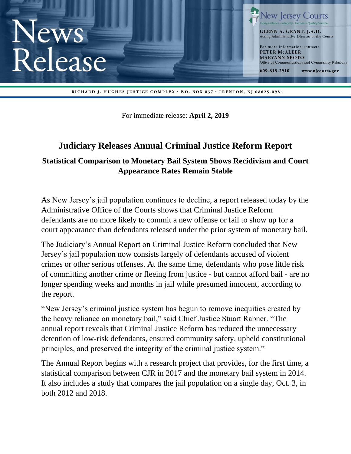

For immediate release: **April 2, 2019**

# **Judiciary Releases Annual Criminal Justice Reform Report**

# **Statistical Comparison to Monetary Bail System Shows Recidivism and Court Appearance Rates Remain Stable**

As New Jersey's jail population continues to decline, a report released today by the Administrative Office of the Courts shows that Criminal Justice Reform defendants are no more likely to commit a new offense or fail to show up for a court appearance than defendants released under the prior system of monetary bail.

The Judiciary's Annual Report on Criminal Justice Reform concluded that New Jersey's jail population now consists largely of defendants accused of violent crimes or other serious offenses. At the same time, defendants who pose little risk of committing another crime or fleeing from justice - but cannot afford bail - are no longer spending weeks and months in jail while presumed innocent, according to the report.

"New Jersey's criminal justice system has begun to remove inequities created by the heavy reliance on monetary bail," said Chief Justice Stuart Rabner. "The annual report reveals that Criminal Justice Reform has reduced the unnecessary detention of low-risk defendants, ensured community safety, upheld constitutional principles, and preserved the integrity of the criminal justice system."

The Annual Report begins with a research project that provides, for the first time, a statistical comparison between CJR in 2017 and the monetary bail system in 2014. It also includes a study that compares the jail population on a single day, Oct. 3, in both 2012 and 2018.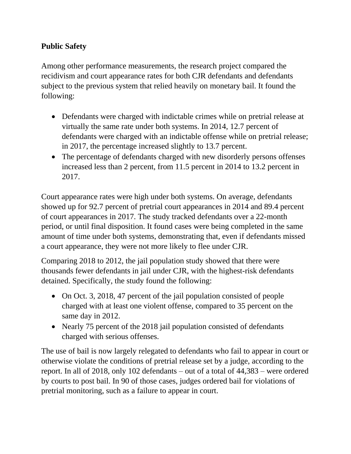#### **Public Safety**

Among other performance measurements, the research project compared the recidivism and court appearance rates for both CJR defendants and defendants subject to the previous system that relied heavily on monetary bail. It found the following:

- Defendants were charged with indictable crimes while on pretrial release at virtually the same rate under both systems. In 2014, 12.7 percent of defendants were charged with an indictable offense while on pretrial release; in 2017, the percentage increased slightly to 13.7 percent.
- The percentage of defendants charged with new disorderly persons offenses increased less than 2 percent, from 11.5 percent in 2014 to 13.2 percent in 2017.

Court appearance rates were high under both systems. On average, defendants showed up for 92.7 percent of pretrial court appearances in 2014 and 89.4 percent of court appearances in 2017. The study tracked defendants over a 22-month period, or until final disposition. It found cases were being completed in the same amount of time under both systems, demonstrating that, even if defendants missed a court appearance, they were not more likely to flee under CJR.

Comparing 2018 to 2012, the jail population study showed that there were thousands fewer defendants in jail under CJR, with the highest-risk defendants detained. Specifically, the study found the following:

- On Oct. 3, 2018, 47 percent of the jail population consisted of people charged with at least one violent offense, compared to 35 percent on the same day in 2012.
- Nearly 75 percent of the 2018 jail population consisted of defendants charged with serious offenses.

The use of bail is now largely relegated to defendants who fail to appear in court or otherwise violate the conditions of pretrial release set by a judge, according to the report. In all of 2018, only 102 defendants – out of a total of 44,383 – were ordered by courts to post bail. In 90 of those cases, judges ordered bail for violations of pretrial monitoring, such as a failure to appear in court.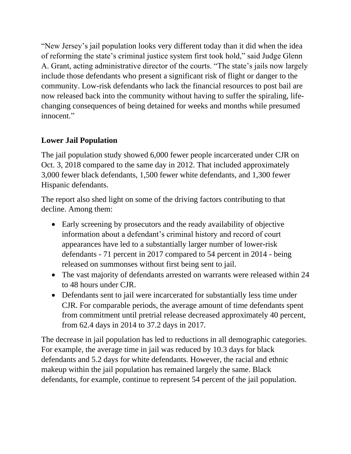"New Jersey's jail population looks very different today than it did when the idea of reforming the state's criminal justice system first took hold," said Judge Glenn A. Grant, acting administrative director of the courts. "The state's jails now largely include those defendants who present a significant risk of flight or danger to the community. Low-risk defendants who lack the financial resources to post bail are now released back into the community without having to suffer the spiraling, lifechanging consequences of being detained for weeks and months while presumed innocent."

## **Lower Jail Population**

The jail population study showed 6,000 fewer people incarcerated under CJR on Oct. 3, 2018 compared to the same day in 2012. That included approximately 3,000 fewer black defendants, 1,500 fewer white defendants, and 1,300 fewer Hispanic defendants.

The report also shed light on some of the driving factors contributing to that decline. Among them:

- Early screening by prosecutors and the ready availability of objective information about a defendant's criminal history and record of court appearances have led to a substantially larger number of lower-risk defendants - 71 percent in 2017 compared to 54 percent in 2014 - being released on summonses without first being sent to jail.
- The vast majority of defendants arrested on warrants were released within 24 to 48 hours under CJR.
- Defendants sent to jail were incarcerated for substantially less time under CJR. For comparable periods, the average amount of time defendants spent from commitment until pretrial release decreased approximately 40 percent, from 62.4 days in 2014 to 37.2 days in 2017.

The decrease in jail population has led to reductions in all demographic categories. For example, the average time in jail was reduced by 10.3 days for black defendants and 5.2 days for white defendants. However, the racial and ethnic makeup within the jail population has remained largely the same. Black defendants, for example, continue to represent 54 percent of the jail population.